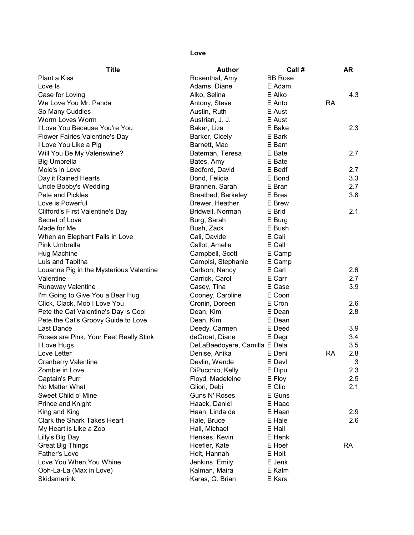## Love

| <b>Title</b>                            | <b>Author</b>                 | Call#            |           | <b>AR</b> |
|-----------------------------------------|-------------------------------|------------------|-----------|-----------|
| Plant a Kiss                            | Rosenthal, Amy                | <b>BB Rose</b>   |           |           |
| Love Is                                 | Adams, Diane                  | E Adam           |           |           |
| Case for Loving                         | Alko, Selina                  | E Alko           |           | 4.3       |
| We Love You Mr. Panda                   | Antony, Steve                 | E Anto           | <b>RA</b> |           |
| So Many Cuddles                         | Austin, Ruth                  | E Aust           |           |           |
| Worm Loves Worm                         | Austrian, J. J.               | E Aust           |           |           |
| I Love You Because You're You           | Baker, Liza                   | E Bake           |           | 2.3       |
| Flower Fairies Valentine's Day          | Barker, Cicely                | E Bark           |           |           |
| I Love You Like a Pig                   | Barnett, Mac                  | E Barn           |           |           |
| Will You Be My Valenswine?              | Bateman, Teresa               | E Bate           |           | 2.7       |
| <b>Big Umbrella</b>                     | Bates, Amy                    | E Bate           |           |           |
| Mole's in Love                          | Bedford, David                | E Bedf           |           | 2.7       |
| Day it Rained Hearts                    | Bond, Felicia                 | E Bond           |           | 3.3       |
| Uncle Bobby's Wedding                   | Brannen, Sarah                | E Bran           |           | 2.7       |
| Pete and Pickles                        | Breathed, Berkeley            | E Brea           |           | 3.8       |
| Love is Powerful                        | Brewer, Heather               | E Brew           |           |           |
| <b>Clifford's First Valentine's Day</b> | Bridwell, Norman              | E Brid           |           | 2.1       |
| Secret of Love                          | Burg, Sarah                   | E Burg           |           |           |
| Made for Me                             | Bush, Zack                    | E Bush           |           |           |
| When an Elephant Falls in Love          | Cali, Davide                  | E Cali           |           |           |
| Pink Umbrella                           | Callot, Amelie                | E Call           |           |           |
|                                         |                               |                  |           |           |
| Hug Machine                             | Campbell, Scott               | E Camp           |           |           |
| Luis and Tabitha                        | Campisi, Stephanie            | E Camp<br>E Carl |           |           |
| Louanne Pig in the Mysterious Valentine | Carlson, Nancy                | E Carr           |           | 2.6       |
| Valentine                               | Carrick, Carol                | E Case           |           | 2.7       |
| <b>Runaway Valentine</b>                | Casey, Tina                   |                  |           | 3.9       |
| I'm Going to Give You a Bear Hug        | Cooney, Caroline              | E Coon           |           |           |
| Click, Clack, Moo I Love You            | Cronin, Doreen                | E Cron           |           | 2.6       |
| Pete the Cat Valentine's Day is Cool    | Dean, Kim                     | E Dean           |           | 2.8       |
| Pete the Cat's Groovy Guide to Love     | Dean, Kim                     | E Dean           |           |           |
| <b>Last Dance</b>                       | Deedy, Carmen                 | E Deed           |           | 3.9       |
| Roses are Pink, Your Feet Really Stink  | deGroat, Diane                | E Degr           |           | 3.4       |
| I Love Hugs                             | DeLaBaedoyere, Camilla E Dela |                  |           | 3.5       |
| Love Letter                             | Denise, Anika                 | E Deni           | RA        | 2.8       |
| <b>Cranberry Valentine</b>              | Devlin, Wende                 | E Devl           |           | 3         |
| Zombie in Love                          | DiPucchio, Kelly              | E Dipu           |           | 2.3       |
| Captain's Purr                          | Floyd, Madeleine              | E Floy           |           | 2.5       |
| No Matter What                          | Gliori, Debi                  | E Glio           |           | 2.1       |
| Sweet Child o' Mine                     | Guns N' Roses                 | E Guns           |           |           |
| Prince and Knight                       | Haack, Daniel                 | E Haac           |           |           |
| King and King                           | Haan, Linda de                | E Haan           |           | 2.9       |
| Clark the Shark Takes Heart             | Hale, Bruce                   | E Hale           |           | 2.6       |
| My Heart is Like a Zoo                  | Hall, Michael                 | E Hall           |           |           |
| Lilly's Big Day                         | Henkes, Kevin                 | E Henk           |           |           |
| <b>Great Big Things</b>                 | Hoefler, Kate                 | E Hoef           |           | <b>RA</b> |
| <b>Father's Love</b>                    | Holt, Hannah                  | E Holt           |           |           |
| Love You When You Whine                 | Jenkins, Emily                | E Jenk           |           |           |
| Ooh-La-La (Max in Love)                 | Kalman, Maira                 | E Kalm           |           |           |
| Skidamarink                             | Karas, G. Brian               | E Kara           |           |           |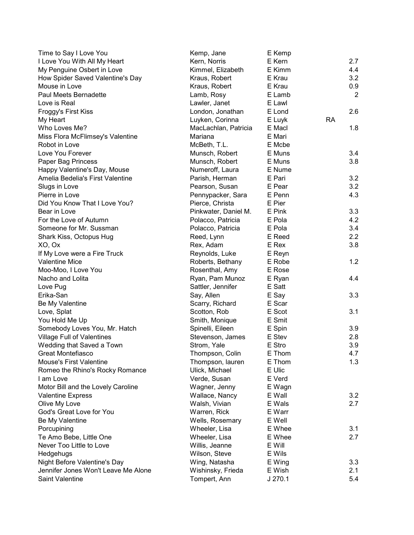| Time to Say I Love You              | Kemp, Jane           | E Kemp |           |                |
|-------------------------------------|----------------------|--------|-----------|----------------|
| I Love You With All My Heart        | Kern, Norris         | E Kern |           | 2.7            |
| My Penguine Osbert in Love          | Kimmel, Elizabeth    | E Kimm |           | 4.4            |
| How Spider Saved Valentine's Day    | Kraus, Robert        | E Krau |           | 3.2            |
| Mouse in Love                       | Kraus, Robert        | E Krau |           | 0.9            |
| Paul Meets Bernadette               | Lamb, Rosy           | E Lamb |           | $\overline{2}$ |
| Love is Real                        | Lawler, Janet        | E Lawl |           |                |
| Froggy's First Kiss                 | London, Jonathan     | E Lond |           | 2.6            |
| My Heart                            | Luyken, Corinna      | E Luyk | <b>RA</b> |                |
| Who Loves Me?                       | MacLachlan, Patricia | E Macl |           | 1.8            |
| Miss Flora McFlimsey's Valentine    | Mariana              | E Mari |           |                |
| Robot in Love                       | McBeth, T.L.         | E Mcbe |           |                |
| Love You Forever                    | Munsch, Robert       | E Muns |           | 3.4            |
| Paper Bag Princess                  | Munsch, Robert       | E Muns |           | 3.8            |
| Happy Valentine's Day, Mouse        | Numeroff, Laura      | E Nume |           |                |
| Amelia Bedelia's First Valentine    | Parish, Herman       | E Pari |           | 3.2            |
| Slugs in Love                       | Pearson, Susan       | E Pear |           | 3.2            |
| Pierre in Love                      | Pennypacker, Sara    | E Penn |           | 4.3            |
| Did You Know That I Love You?       | Pierce, Christa      | E Pier |           |                |
| Bear in Love                        | Pinkwater, Daniel M. | E Pink |           | 3.3            |
| For the Love of Autumn              | Polacco, Patricia    | E Pola |           | 4.2            |
| Someone for Mr. Sussman             | Polacco, Patricia    | E Pola |           | 3.4            |
| Shark Kiss, Octopus Hug             | Reed, Lynn           | E Reed |           | 2.2            |
| XO, Ox                              | Rex, Adam            | E Rex  |           | 3.8            |
| If My Love were a Fire Truck        | Reynolds, Luke       | E Reyn |           |                |
| <b>Valentine Mice</b>               | Roberts, Bethany     | E Robe |           | 1.2            |
| Moo-Moo, I Love You                 | Rosenthal, Amy       | E Rose |           |                |
| Nacho and Lolita                    | Ryan, Pam Munoz      | E Ryan |           | 4.4            |
| Love Pug                            | Sattler, Jennifer    | E Satt |           |                |
| Erika-San                           | Say, Allen           | E Say  |           | 3.3            |
| Be My Valentine                     | Scarry, Richard      | E Scar |           |                |
| Love, Splat                         | Scotton, Rob         | E Scot |           | 3.1            |
| You Hold Me Up                      | Smith, Monique       | E Smit |           |                |
| Somebody Loves You, Mr. Hatch       | Spinelli, Eileen     | E Spin |           | 3.9            |
| <b>Village Full of Valentines</b>   | Stevenson, James     | E Stev |           | 2.8            |
| Wedding that Saved a Town           | Strom, Yale          | E Stro |           | 3.9            |
| <b>Great Montefiasco</b>            | Thompson, Colin      | E Thom |           | 4.7            |
| <b>Mouse's First Valentine</b>      | Thompson, lauren     | E Thom |           | 1.3            |
| Romeo the Rhino's Rocky Romance     | Ulick, Michael       | E Ulic |           |                |
| I am Love                           | Verde, Susan         | E Verd |           |                |
| Motor Bill and the Lovely Caroline  | Wagner, Jenny        | E Wagn |           |                |
| <b>Valentine Express</b>            | Wallace, Nancy       | E Wall |           | 3.2            |
| Olive My Love                       | Walsh, Vivian        | E Wals |           | 2.7            |
| God's Great Love for You            | Warren, Rick         | E Warr |           |                |
| Be My Valentine                     | Wells, Rosemary      | E Well |           |                |
| Porcupining                         | Wheeler, Lisa        | E Whee |           | 3.1            |
| Te Amo Bebe, Little One             | Wheeler, Lisa        | E Whee |           | 2.7            |
| Never Too Little to Love            | Willis, Jeanne       | E Will |           |                |
| Hedgehugs                           | Wilson, Steve        | E Wils |           |                |
| Night Before Valentine's Day        | Wing, Natasha        | E Wing |           | 3.3            |
| Jennifer Jones Won't Leave Me Alone | Wishinsky, Frieda    | E Wish |           | 2.1            |
| Saint Valentine                     | Tompert, Ann         | J270.1 |           | 5.4            |
|                                     |                      |        |           |                |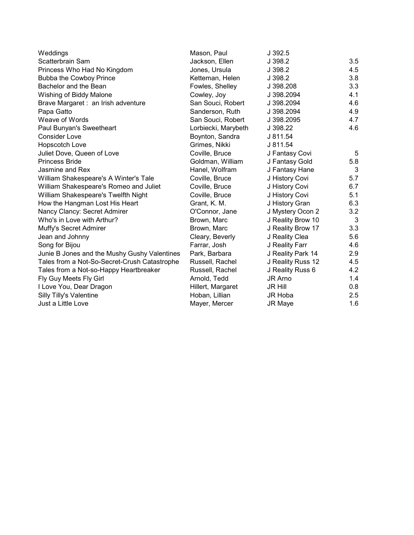| Weddings                                     | Mason, Paul         | J 392.5           |     |
|----------------------------------------------|---------------------|-------------------|-----|
| Scatterbrain Sam                             | Jackson, Ellen      | J 398.2           | 3.5 |
| Princess Who Had No Kingdom                  | Jones, Ursula       | J 398.2           | 4.5 |
| <b>Bubba the Cowboy Prince</b>               | Ketteman, Helen     | J 398.2           | 3.8 |
| Bachelor and the Bean                        | Fowles, Shelley     | J 398.208         | 3.3 |
| Wishing of Biddy Malone                      | Cowley, Joy         | J 398.2094        | 4.1 |
| Brave Margaret : an Irish adventure          | San Souci, Robert   | J 398.2094        | 4.6 |
| Papa Gatto                                   | Sanderson, Ruth     | J 398.2094        | 4.9 |
| Weave of Words                               | San Souci, Robert   | J 398.2095        | 4.7 |
| Paul Bunyan's Sweetheart                     | Lorbiecki, Marybeth | J 398.22          | 4.6 |
| <b>Consider Love</b>                         | Boynton, Sandra     | J 811.54          |     |
| Hopscotch Love                               | Grimes, Nikki       | J 811.54          |     |
| Juliet Dove, Queen of Love                   | Coville, Bruce      | J Fantasy Covi    | 5   |
| <b>Princess Bride</b>                        | Goldman, William    | J Fantasy Gold    | 5.8 |
| Jasmine and Rex                              | Hanel, Wolfram      | J Fantasy Hane    | 3   |
| William Shakespeare's A Winter's Tale        | Coville, Bruce      | J History Covi    | 5.7 |
| William Shakespeare's Romeo and Juliet       | Coville, Bruce      | J History Covi    | 6.7 |
| William Shakespeare's Twelfth Night          | Coville, Bruce      | J History Covi    | 5.1 |
| How the Hangman Lost His Heart               | Grant, K. M.        | J History Gran    | 6.3 |
| Nancy Clancy: Secret Admirer                 | O'Connor, Jane      | J Mystery Ocon 2  | 3.2 |
| Who's in Love with Arthur?                   | Brown, Marc         | J Reality Brow 10 | 3   |
| Muffy's Secret Admirer                       | Brown, Marc         | J Reality Brow 17 | 3.3 |
| Jean and Johnny                              | Cleary, Beverly     | J Reality Clea    | 5.6 |
| Song for Bijou                               | Farrar, Josh        | J Reality Farr    | 4.6 |
| Junie B Jones and the Mushy Gushy Valentines | Park, Barbara       | J Reality Park 14 | 2.9 |
| Tales from a Not-So-Secret-Crush Catastrophe | Russell, Rachel     | J Reality Russ 12 | 4.5 |
| Tales from a Not-so-Happy Heartbreaker       | Russell, Rachel     | J Reality Russ 6  | 4.2 |
| Fly Guy Meets Fly Girl                       | Arnold, Tedd        | JR Arno           | 1.4 |
| I Love You, Dear Dragon                      | Hillert, Margaret   | <b>JR Hill</b>    | 0.8 |
| Silly Tilly's Valentine                      | Hoban, Lillian      | <b>JR Hoba</b>    | 2.5 |
| Just a Little Love                           | Mayer, Mercer       | <b>JR Maye</b>    | 1.6 |